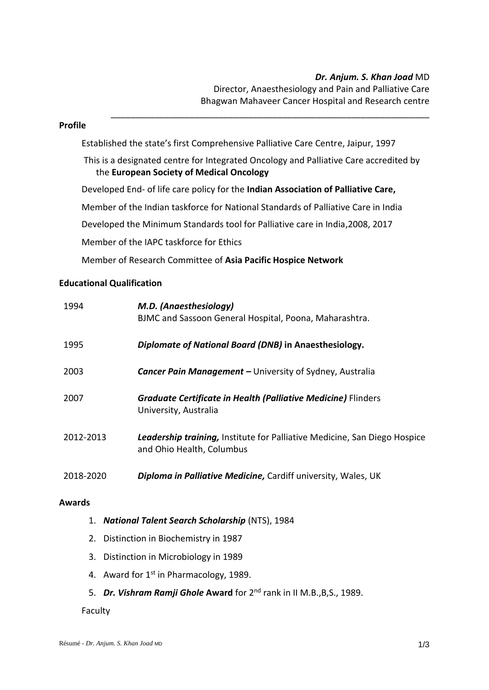# *Dr. Anjum. S. Khan Joad* MD

 Director, Anaesthesiology and Pain and Palliative Care Bhagwan Mahaveer Cancer Hospital and Research centre

### **Profile**

Established the state's first Comprehensive Palliative Care Centre, Jaipur, 1997

This is a designated centre for Integrated Oncology and Palliative Care accredited by the **European Society of Medical Oncology**

\_\_\_\_\_\_\_\_\_\_\_\_\_\_\_\_\_\_\_\_\_\_\_\_\_\_\_\_\_\_\_\_\_\_\_\_\_\_\_\_\_\_\_\_\_\_\_\_\_\_\_\_\_\_\_\_\_\_\_\_\_\_\_\_\_

Developed End- of life care policy for the **Indian Association of Palliative Care,**

Member of the Indian taskforce for National Standards of Palliative Care in India

Developed the Minimum Standards tool for Palliative care in India,2008, 2017

Member of the IAPC taskforce for Ethics

Member of Research Committee of **Asia Pacific Hospice Network**

## **Educational Qualification**

| 1994      | M.D. (Anaesthesiology)<br>BJMC and Sassoon General Hospital, Poona, Maharashtra.                              |
|-----------|---------------------------------------------------------------------------------------------------------------|
| 1995      | Diplomate of National Board (DNB) in Anaesthesiology.                                                         |
| 2003      | <b>Cancer Pain Management - University of Sydney, Australia</b>                                               |
| 2007      | <b>Graduate Certificate in Health (Palliative Medicine) Flinders</b><br>University, Australia                 |
| 2012-2013 | <b>Leadership training, Institute for Palliative Medicine, San Diego Hospice</b><br>and Ohio Health, Columbus |
| 2018-2020 | <b>Diploma in Palliative Medicine, Cardiff university, Wales, UK</b>                                          |

#### **Awards**

- 1. *National Talent Search Scholarship* (NTS), 1984
- 2. Distinction in Biochemistry in 1987
- 3. Distinction in Microbiology in 1989
- 4. Award for  $1<sup>st</sup>$  in Pharmacology, 1989.
- 5. *Dr. Vishram Ramji Ghole* **Award** for 2nd rank in II M.B.,B,S., 1989.

#### Faculty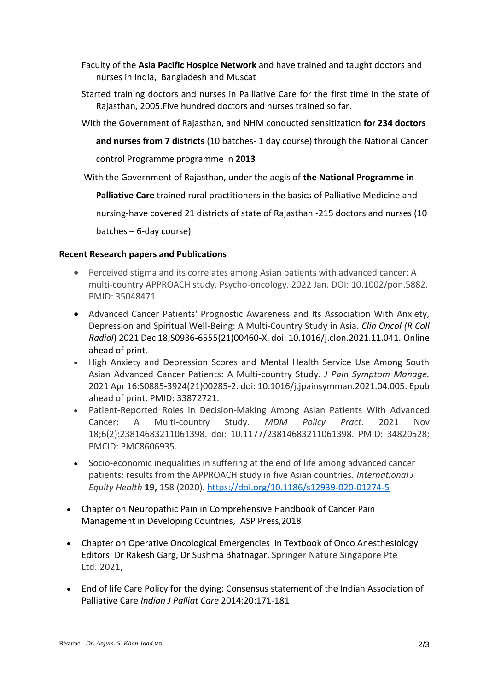- Faculty of the **Asia Pacific Hospice Network** and have trained and taught doctors and nurses in India, Bangladesh and Muscat
- Started training doctors and nurses in Palliative Care for the first time in the state of Rajasthan, 2005.Five hundred doctors and nurses trained so far.
- With the Government of Rajasthan, and NHM conducted sensitization **for 234 doctors** 
	- **and nurses from 7 districts** (10 batches- 1 day course) through the National Cancer

control Programme programme in **2013**

With the Government of Rajasthan, under the aegis of **the National Programme in** 

**Palliative Care** trained rural practitioners in the basics of Palliative Medicine and

nursing-have covered 21 districts of state of Rajasthan -215 doctors and nurses (10

batches – 6-day course)

## **Recent Research papers and Publications**

- Perceived stigma and its correlates among Asian patients with advanced cancer: A multi-country APPROACH study. Psycho-oncology. 2022 Jan. DOI: 10.1002/pon.5882. PMID: 35048471.
- Advanced Cancer Patients' Prognostic Awareness and Its Association With Anxiety, Depression and Spiritual Well-Being: A Multi-Country Study in Asia. *Clin Oncol (R Coll Radiol*) 2021 Dec 18;S0936-6555(21)00460-X. doi: 10.1016/j.clon.2021.11.041. Online ahead of print.
- High Anxiety and Depression Scores and Mental Health Service Use Among South Asian Advanced Cancer Patients: A Multi-country Study. *J Pain Symptom Manage.* 2021 Apr 16:S0885-3924(21)00285-2. doi: 10.1016/j.jpainsymman.2021.04.005. Epub ahead of print. PMID: 33872721.
- Patient-Reported Roles in Decision-Making Among Asian Patients With Advanced Cancer: A Multi-country Study. *MDM Policy Pract*. 2021 Nov 18;6(2):23814683211061398. doi: 10.1177/23814683211061398. PMID: 34820528; PMCID: PMC8606935.
- Socio-economic inequalities in suffering at the end of life among advanced cancer patients: results from the APPROACH study in five Asian countries. *International J Equity Health* **19,** 158 (2020).<https://doi.org/10.1186/s12939-020-01274-5>
- Chapter on Neuropathic Pain in Comprehensive Handbook of Cancer Pain Management in Developing Countries, IASP Press,2018
- Chapter on Operative Oncological Emergencies in Textbook of Onco Anesthesiology Editors: Dr Rakesh Garg, Dr Sushma Bhatnagar, Springer Nature Singapore Pte Ltd. 2021,
- End of life Care Policy for the dying: Consensus statement of the Indian Association of Palliative Care *Indian J Palliat Care* 2014:20:171-181